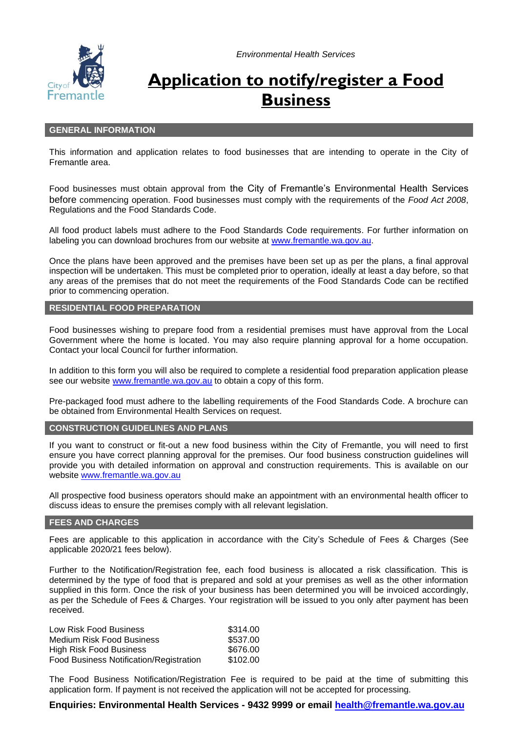*Environmental Health Services*



# **Application to notify/register a Food Business**

#### **GENERAL INFORMATION**

This information and application relates to food businesses that are intending to operate in the City of Fremantle area.

Food businesses must obtain approval from the City of Fremantle's Environmental Health Services before commencing operation. Food businesses must comply with the requirements of the *Food Act 2008*, Regulations and the Food Standards Code.

All food product labels must adhere to the Food Standards Code requirements. For further information on labeling you can download brochures from our website at [www.fremantle.wa.gov.au.](http://www.fremantle.wa.gov.au/)

Once the plans have been approved and the premises have been set up as per the plans, a final approval inspection will be undertaken. This must be completed prior to operation, ideally at least a day before, so that any areas of the premises that do not meet the requirements of the Food Standards Code can be rectified prior to commencing operation.

#### **RESIDENTIAL FOOD PREPARATION**

Food businesses wishing to prepare food from a residential premises must have approval from the Local Government where the home is located. You may also require planning approval for a home occupation. Contact your local Council for further information.

In addition to this form you will also be required to complete a residential food preparation application please see our website [www.fremantle.wa.gov.au](http://www.fremantle.wa.gov.au/) to obtain a copy of this form.

Pre-packaged food must adhere to the labelling requirements of the Food Standards Code. A brochure can be obtained from Environmental Health Services on request.

#### **CONSTRUCTION GUIDELINES AND PLANS**

If you want to construct or fit-out a new food business within the City of Fremantle, you will need to first ensure you have correct planning approval for the premises. Our [food business construction guidelines w](http://www.fremantle.wa.gov.au/files/dec259f4-a41d-4423-8f18-9dac00ed75b4/Food_business_construction_guidelines.pdf)ill provide you with detailed information on approval and construction requirements. This is available on our website [www.fremantle.wa.gov.au](http://www.fremantle.wa.gov.au/)

All prospective food business operators should make an appointment with an environmental health officer to discuss ideas to ensure the premises comply with all relevant legislation.

## **FEES AND CHARGES**

Fees are applicable to this application in accordance with the City's Schedule of Fees & Charges (See applicable 2020/21 fees below).

Further to the Notification/Registration fee, each food business is allocated a risk classification. This is determined by the type of food that is prepared and sold at your premises as well as the other information supplied in this form. Once the risk of your business has been determined you will be invoiced accordingly, as per the Schedule of Fees & Charges. Your registration will be issued to you only after payment has been received.

| Low Risk Food Business                  | \$314.00 |
|-----------------------------------------|----------|
| Medium Risk Food Business               | \$537.00 |
| High Risk Food Business                 | \$676.00 |
| Food Business Notification/Registration | \$102.00 |

The Food Business Notification/Registration Fee is required to be paid at the time of submitting this application form. If payment is not received the application will not be accepted for processing.

## **Enquiries: Environmental Health Services - 9432 9999 or email [health@fremantle.wa.gov.au](mailto:health@fremantle.wa.gov.au)**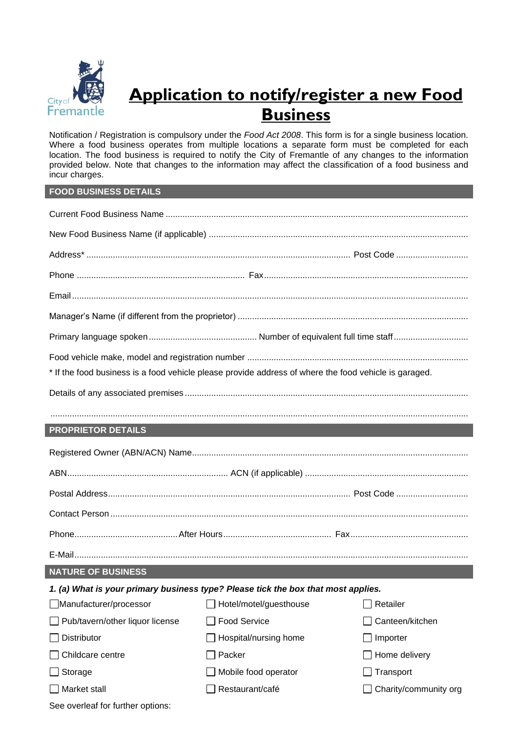

# **Application to notify/register a new Food Business**

Notification / Registration is compulsory under the *Food Act 2008*. This form is for a single business location. Where a food business operates from multiple locations a separate form must be completed for each location. The food business is required to notify the City of Fremantle of any changes to the information provided below. Note that changes to the information may affect the classification of a food business and incur charges.

## **FOOD BUSINESS DETAILS**

| * If the food business is a food vehicle please provide address of where the food vehicle is garaged. |                        |                       |  |  |  |
|-------------------------------------------------------------------------------------------------------|------------------------|-----------------------|--|--|--|
| <b>PROPRIETOR DETAILS</b>                                                                             |                        |                       |  |  |  |
|                                                                                                       |                        |                       |  |  |  |
|                                                                                                       |                        |                       |  |  |  |
|                                                                                                       |                        |                       |  |  |  |
|                                                                                                       |                        |                       |  |  |  |
|                                                                                                       |                        |                       |  |  |  |
|                                                                                                       |                        |                       |  |  |  |
| <b>NATURE OF BUSINESS</b>                                                                             |                        |                       |  |  |  |
| 1. (a) What is your primary business type? Please tick the box that most applies.                     |                        |                       |  |  |  |
| Manufacturer/processor                                                                                | Hotel/motel/guesthouse | Retailer              |  |  |  |
| Pub/tavern/other liquor license                                                                       | <b>Food Service</b>    | Canteen/kitchen       |  |  |  |
| Distributor                                                                                           | Hospital/nursing home  | Importer              |  |  |  |
| Childcare centre                                                                                      | Packer                 | Home delivery         |  |  |  |
| Storage                                                                                               | Mobile food operator   | Transport             |  |  |  |
| Market stall                                                                                          | Restaurant/café        | Charity/community org |  |  |  |
| See overleaf for further options:                                                                     |                        |                       |  |  |  |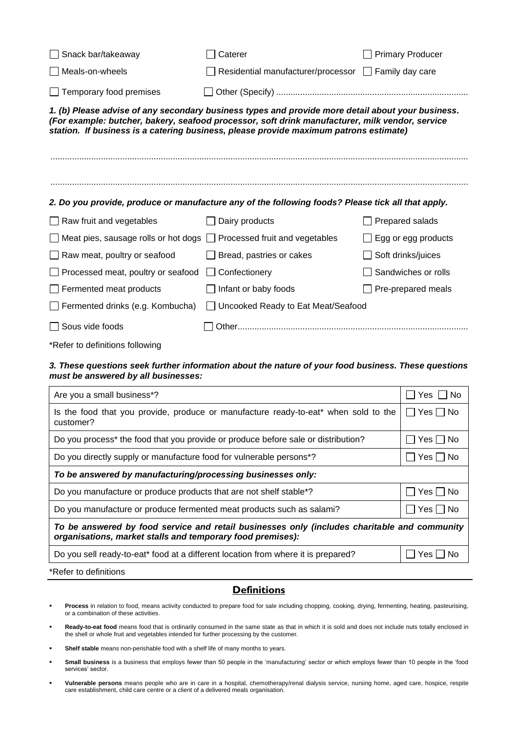| Snack bar/takeaway                          | Caterer                                                                                                                                                                                                                                                                                       | <b>Primary Producer</b> |
|---------------------------------------------|-----------------------------------------------------------------------------------------------------------------------------------------------------------------------------------------------------------------------------------------------------------------------------------------------|-------------------------|
| Meals-on-wheels                             | Residential manufacturer/processor   Family day care                                                                                                                                                                                                                                          |                         |
| $\Box$ Temporary food premises              |                                                                                                                                                                                                                                                                                               |                         |
|                                             | 1. (b) Please advise of any secondary business types and provide more detail about your business.<br>(For example: butcher, bakery, seafood processor, soft drink manufacturer, milk vendor, service<br>station. If business is a catering business, please provide maximum patrons estimate) |                         |
|                                             | 2. Do you provide, produce or manufacture any of the following foods? Please tick all that apply.                                                                                                                                                                                             |                         |
| $\Box$ Raw fruit and vegetables             | Dairy products                                                                                                                                                                                                                                                                                | Prepared salads         |
| $\Box$ Meat pies, sausage rolls or hot dogs | Processed fruit and vegetables                                                                                                                                                                                                                                                                | Egg or egg products     |
| $\Box$ Raw meat, poultry or seafood         | Bread, pastries or cakes                                                                                                                                                                                                                                                                      | Soft drinks/juices      |
| Processed meat, poultry or seafood          | Confectionery                                                                                                                                                                                                                                                                                 | Sandwiches or rolls     |
| $\Box$ Fermented meat products              | Infant or baby foods                                                                                                                                                                                                                                                                          | Pre-prepared meals      |
| $\Box$ Fermented drinks (e.g. Kombucha)     | Uncooked Ready to Eat Meat/Seafood                                                                                                                                                                                                                                                            |                         |
| $\Box$ Sous vide foods                      |                                                                                                                                                                                                                                                                                               |                         |
| *Refer to definitions following             |                                                                                                                                                                                                                                                                                               |                         |

#### *3. These questions seek further information about the nature of your food business. These questions must be answered by all businesses:*

| Are you a small business*?                                                                                                                                 | Yes I<br>∣ I No |  |  |
|------------------------------------------------------------------------------------------------------------------------------------------------------------|-----------------|--|--|
| Is the food that you provide, produce or manufacture ready-to-eat* when sold to the<br>customer?                                                           | Yes     No      |  |  |
| Do you process* the food that you provide or produce before sale or distribution?                                                                          | Yes  No         |  |  |
| Do you directly supply or manufacture food for vulnerable persons*?                                                                                        | IYes   INo      |  |  |
| To be answered by manufacturing/processing businesses only:                                                                                                |                 |  |  |
| Do you manufacture or produce products that are not shelf stable <sup>*?</sup>                                                                             | Yes     No      |  |  |
| Do you manufacture or produce fermented meat products such as salami?                                                                                      | Yes □ No        |  |  |
| To be answered by food service and retail businesses only (includes charitable and community<br>organisations, market stalls and temporary food premises): |                 |  |  |
| Do you sell ready-to-eat* food at a different location from where it is prepared?                                                                          | Yes I<br>No.    |  |  |

\*Refer to definitions

# **Definitions**

- Process in relation to food, means activity conducted to prepare food for sale including chopping, cooking, drying, fermenting, heating, pasteurising, or a combination of these activities.
- **Ready-to-eat food** means food that is ordinarily consumed in the same state as that in which it is sold and does not include nuts totally enclosed in the shell or whole fruit and vegetables intended for further processing by the customer.
- Shelf stable means non-perishable food with a shelf life of many months to years.
- Small business is a business that employs fewer than 50 people in the 'manufacturing' sector or which employs fewer than 10 people in the 'food services' sector.
- **Vulnerable persons** means people who are in care in a hospital, chemotherapy/renal dialysis service, nursing home, aged care, hospice, respite care establishment, child care centre or a client of a delivered meals organisation.